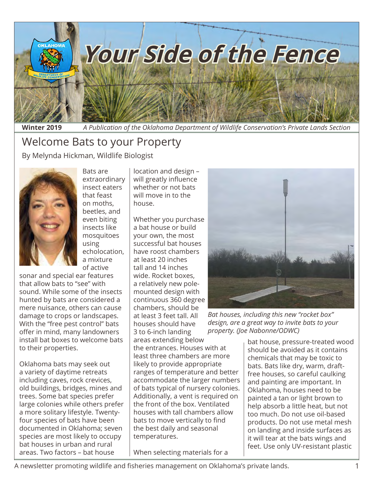

**Winter 2019** *A Publication of the Oklahoma Department of Wildlife Conservation's Private Lands Section*

# Welcome Bats to your Property

By Melynda Hickman, Wildlife Biologist



Bats are extraordinary insect eaters that feast on moths, beetles, and even biting insects like mosquitoes using echolocation, a mixture of active

sonar and special ear features that allow bats to "see" with sound. While some of the insects hunted by bats are considered a mere nuisance, others can cause damage to crops or landscapes. With the "free pest control" bats offer in mind, many landowners install bat boxes to welcome bats to their properties.

Oklahoma bats may seek out a variety of daytime retreats including caves, rock crevices, old buildings, bridges, mines and trees. Some bat species prefer large colonies while others prefer a more solitary lifestyle. Twentyfour species of bats have been documented in Oklahoma; seven species are most likely to occupy bat houses in urban and rural areas. Two factors – bat house

location and design – will greatly influence whether or not bats will move in to the house.

Whether you purchase a bat house or build your own, the most successful bat houses have roost chambers at least 20 inches tall and 14 inches wide. Rocket boxes, a relatively new polemounted design with continuous 360 degree chambers, should be at least 3 feet tall. All houses should have 3 to 6-inch landing areas extending below the entrances. Houses with at least three chambers are more likely to provide appropriate ranges of temperature and better accommodate the larger numbers of bats typical of nursery colonies. Additionally, a vent is required on the front of the box. Ventilated houses with tall chambers allow bats to move vertically to find the best daily and seasonal temperatures.

When selecting materials for a



*Bat houses, including this new "rocket box" design, are a great way to invite bats to your property. (Joe Nabonne/ODWC)*

bat house, pressure-treated wood should be avoided as it contains chemicals that may be toxic to bats. Bats like dry, warm, draftfree houses, so careful caulking and painting are important. In Oklahoma, houses need to be painted a tan or light brown to help absorb a little heat, but not too much. Do not use oil-based products. Do not use metal mesh on landing and inside surfaces as it will tear at the bats wings and feet. Use only UV-resistant plastic

A newsletter promoting wildlife and fisheries management on Oklahoma's private lands. 1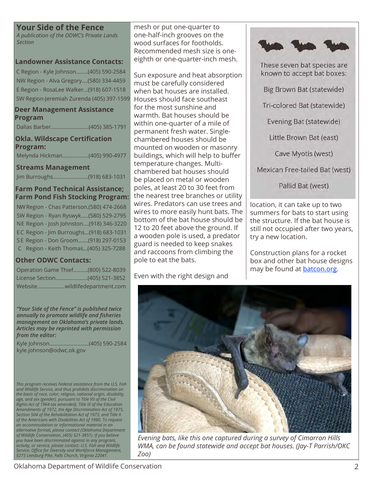#### **Your Side of the Fence**

*A publication of the ODWC's Private Lands Section*

#### **Landowner Assistance Contacts:**

C Region - Kyle Johnson........(405) 590-2584 NW Region - Alva Gregory....(580) 334-4459 E Region - RosaLee Walker...(918) 607-1518 SW Region-Jeremiah Zurenda (405) 397-1599

#### **Deer Management Assistance Program**

Dallas Barber..........................(405) 385-1791

**Okla. Wildscape Certification Program:** Melynda Hickman..................(405) 990-4977

#### **Streams Management**

Jim Burroughs........................(918) 683-1031

#### **Farm Pond Technical Assistance; Farm Pond Fish Stocking Program:**

NW Region - Chas Patterson.(580) 474-2668 SW Region - Ryan Ryswyk.....(580) 529-2795 NE Region - Josh Johnston....(918) 346-3220 EC Region - Jim Burroughs...(918) 683-1031 S E Region - Don Groom.......(918) 297-0153 C Region - Keith Thomas...(405) 325-7288

#### **Other ODWC Contacts:**

| Operation Game Thief(800) 522-8039 |
|------------------------------------|
|                                    |
|                                    |

*"Your Side of the Fence" is published twice annually to promote wildlife and fisheries management on Oklahoma's private lands. Articles may be reprinted with permission from the editor:*

Kyle Johnson...........................(405) 590-2584 kyle.johnson@odwc.ok.gov

*This program receives Federal assistance from the U.S. Fish and Wildlife Service, and thus prohibits discrimination on the basis of race, color, religion, national origin, disability, age, and sex (gender), pursuant to Title VII of the Civil Rights Act of 1964 (as amended), Title IX of the Education Amendments of 1972, the Age Discrimination Act of 1975, Section 504 of the Rehabilitation Act of 1973, and Title II of the Americans with Disabilities Act of 1990. To request an accommodation or informational material in an alternative format, please contact (Oklahoma Department of Wildlife Conservation, (405) 521-3851). If you believe you have been discriminated against in any program, activity, or service, please contact: U.S. Fish and Wildlife Service, Office for Diversity and Workforce Management, 5275 Leesburg Pike, Falls Church, Virginia 22041.*

mesh or put one-quarter to one-half-inch grooves on the wood surfaces for footholds. Recommended mesh size is oneeighth or one-quarter-inch mesh.

Sun exposure and heat absorption must be carefully considered when bat houses are installed. Houses should face southeast for the most sunshine and warmth. Bat houses should be within one-quarter of a mile of permanent fresh water. Singlechambered houses should be mounted on wooden or masonry buildings, which will help to buffer temperature changes. Multichambered bat houses should be placed on metal or wooden poles, at least 20 to 30 feet from the nearest tree branches or utility wires. Predators can use trees and wires to more easily hunt bats. The bottom of the bat house should be 12 to 20 feet above the ground. If a wooden pole is used, a predator guard is needed to keep snakes and raccoons from climbing the pole to eat the bats.

Even with the right design and



These seven bat species are known to accept bat boxes: Big Brown Bat (statewide) Tri-colored Bat (statewide) Evening Bat (statewide) Little Brown Bat (east) Cave Myotis (west) Mexican Free-tailed Bat (west)

Pallid Bat (west)

location, it can take up to two summers for bats to start using the structure. If the bat house is still not occupied after two years, try a new location.

Construction plans for a rocket box and other bat house designs may be found at **[batcon.org](http://www.batcon.org/resources/getting-involved/bat-houses/install).** 



*Evening bats, like this one captured during a survey of Cimarron Hills WMA, can be found statewide and accept bat houses. (Jay-T Parrish/OKC Zoo)*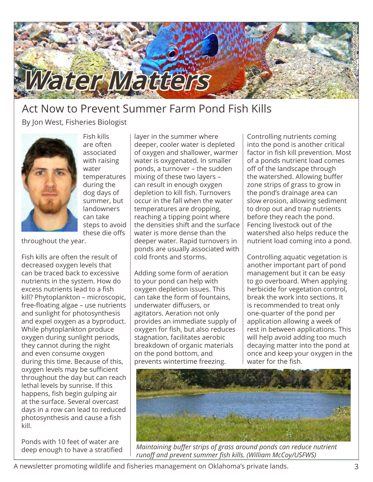

# Act Now to Prevent Summer Farm Pond Fish Kills

By Jon West, Fisheries Biologist



Fish kills are often associated with raising water temperatures during the dog days of summer, but landowners can take steps to avoid these die offs

throughout the year.

Fish kills are often the result of decreased oxygen levels that can be traced back to excessive nutrients in the system. How do excess nutrients lead to a fish kill? Phytoplankton – microscopic, free-floating algae – use nutrients and sunlight for photosynthesis and expel oxygen as a byproduct. While phytoplankton produce oxygen during sunlight periods, they cannot during the night and even consume oxygen during this time. Because of this, oxygen levels may be sufficient throughout the day but can reach lethal levels by sunrise. If this happens, fish begin gulping air at the surface. Several overcast days in a row can lead to reduced photosynthesis and cause a fish kill.

Ponds with 10 feet of water are deep enough to have a stratified layer in the summer where deeper, cooler water is depleted of oxygen and shallower, warmer water is oxygenated. In smaller ponds, a turnover – the sudden mixing of these two layers – can result in enough oxygen depletion to kill fish. Turnovers occur in the fall when the water temperatures are dropping, reaching a tipping point where the densities shift and the surface water is more dense than the deeper water. Rapid turnovers in ponds are usually associated with cold fronts and storms.

Adding some form of aeration to your pond can help with oxygen depletion issues. This can take the form of fountains, underwater diffusers, or agitators. Aeration not only provides an immediate supply of oxygen for fish, but also reduces stagnation, facilitates aerobic breakdown of organic materials on the pond bottom, and prevents wintertime freezing.

Controlling nutrients coming into the pond is another critical factor in fish kill prevention. Most of a ponds nutrient load comes off of the landscape through the watershed. Allowing buffer zone strips of grass to grow in the pond's drainage area can slow erosion, allowing sediment to drop out and trap nutrients before they reach the pond. Fencing livestock out of the watershed also helps reduce the nutrient load coming into a pond.

Controlling aquatic vegetation is another important part of pond management but it can be easy to go overboard. When applying herbicide for vegetation control, break the work into sections. It is recommended to treat only one-quarter of the pond per application allowing a week of rest in between applications. This will help avoid adding too much decaying matter into the pond at once and keep your oxygen in the water for the fish.



*Maintaining buffer strips of grass around ponds can reduce nutrient runoff and prevent summer fish kills. (William McCoy/USFWS)*

A newsletter promoting wildlife and fisheries management on Oklahoma's private lands. 3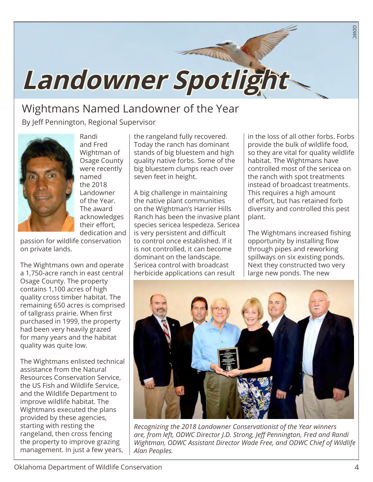# **Landowner Spotlight**

# Wightmans Named Landowner of the Year

By Jeff Pennington, Regional Supervisor



Randi and Fred Wightman of Osage County were recently named the 2018 Landowner of the Year. The award acknowledges their effort, dedication and

passion for wildlife conservation on private lands.

The Wightmans own and operate a 1,750-acre ranch in east central Osage County. The property contains 1,100 acres of high quality cross timber habitat. The remaining 650 acres is comprised of tallgrass prairie. When first purchased in 1999, the property had been very heavily grazed for many years and the habitat quality was quite low.

The Wightmans enlisted technical assistance from the Natural Resources Conservation Service, the US Fish and Wildlife Service, and the Wildlife Department to improve wildlife habitat. The Wightmans executed the plans provided by these agencies, starting with resting the rangeland, then cross fencing the property to improve grazing management. In just a few years,

the rangeland fully recovered. Today the ranch has dominant stands of big bluestem and high quality native forbs. Some of the big bluestem clumps reach over seven feet in height.

A big challenge in maintaining the native plant communities on the Wightman's Harrier Hills Ranch has been the invasive plant species sericea lespedeza. Sericea is very persistent and difficult to control once established. If it is not controlled, it can become dominant on the landscape. Sericea control with broadcast herbicide applications can result

in the loss of all other forbs. Forbs provide the bulk of wildlife food, so they are vital for quality wildlife habitat. The Wightmans have controlled most of the sericea on the ranch with spot treatments instead of broadcast treatments. This requires a high amount of effort, but has retained forb diversity and controlled this pest plant.

*ODWC*

The Wightmans increased fishing opportunity by installing flow through pipes and reworking spillways on six existing ponds. Next they constructed two very large new ponds. The new



*Recognizing the 2018 Landowner Conservationist of the Year winners are, from left, ODWC Director J.D. Strong, Jeff Pennington, Fred and Randi Wightman, ODWC Assistant Director Wade Free, and ODWC Chief of Wildlife Alan Peoples.*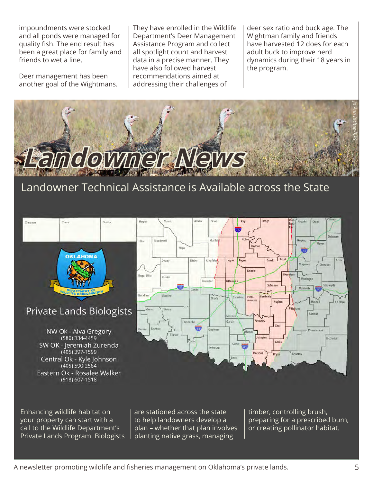impoundments were stocked and all ponds were managed for quality fish. The end result has been a great place for family and friends to wet a line.

Deer management has been another goal of the Wightmans.

They have enrolled in the Wildlife Department's Deer Management Assistance Program and collect all spotlight count and harvest data in a precise manner. They have also followed harvest recommendations aimed at addressing their challenges of

deer sex ratio and buck age. The Wightman family and friends have harvested 12 does for each adult buck to improve herd dynamics during their 18 years in the program.



## Landowner Technical Assistance is Available across the State



Enhancing wildlife habitat on your property can start with a call to the Wildlife Department's Private Lands Program. Biologists are stationed across the state to help landowners develop a plan – whether that plan involves planting native grass, managing

timber, controlling brush, preparing for a prescribed burn, or creating pollinator habitat.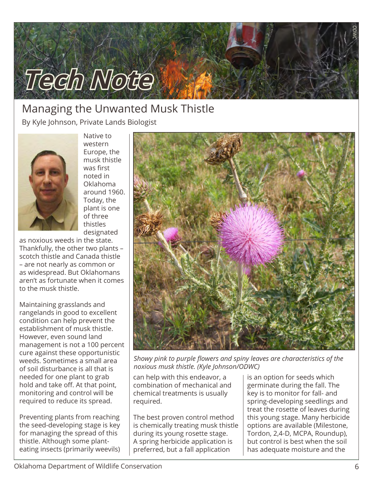

### Managing the Unwanted Musk Thistle By Kyle Johnson, Private Lands Biologist



Native to western Europe, the musk thistle was first noted in Oklahoma around 1960. Today, the plant is one of three thistles designated

as noxious weeds in the state. Thankfully, the other two plants – scotch thistle and Canada thistle – are not nearly as common or as widespread. But Oklahomans aren't as fortunate when it comes to the musk thistle.

Maintaining grasslands and rangelands in good to excellent condition can help prevent the establishment of musk thistle. However, even sound land management is not a 100 percent cure against these opportunistic weeds. Sometimes a small area of soil disturbance is all that is needed for one plant to grab hold and take off. At that point, monitoring and control will be required to reduce its spread.

Preventing plants from reaching the seed-developing stage is key for managing the spread of this thistle. Although some planteating insects (primarily weevils)



*Showy pink to purple flowers and spiny leaves are characteristics of the noxious musk thistle. (Kyle Johnson/ODWC)*

can help with this endeavor, a combination of mechanical and chemical treatments is usually required.

The best proven control method is chemically treating musk thistle during its young rosette stage. A spring herbicide application is preferred, but a fall application

is an option for seeds which germinate during the fall. The key is to monitor for fall- and spring-developing seedlings and treat the rosette of leaves during this young stage. Many herbicide options are available (Milestone, Tordon, 2,4-D, MCPA, Roundup), but control is best when the soil has adequate moisture and the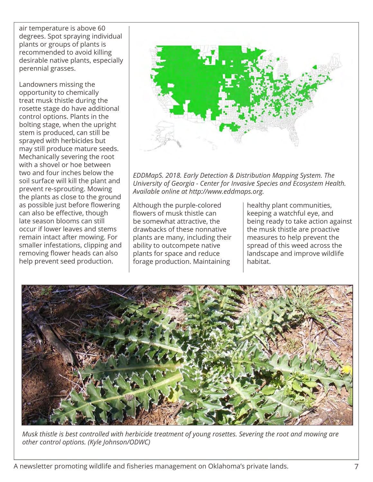air temperature is above 60 degrees. Spot spraying individual plants or groups of plants is recommended to avoid killing desirable native plants, especially perennial grasses.

Landowners missing the opportunity to chemically treat musk thistle during the rosette stage do have additional control options. Plants in the bolting stage, when the upright stem is produced, can still be sprayed with herbicides but may still produce mature seeds. Mechanically severing the root with a shovel or hoe between two and four inches below the soil surface will kill the plant and prevent re-sprouting. Mowing the plants as close to the ground as possible just before flowering can also be effective, though late season blooms can still occur if lower leaves and stems remain intact after mowing. For smaller infestations, clipping and removing flower heads can also help prevent seed production.



*EDDMapS. 2018. Early Detection & Distribution Mapping System. The University of Georgia - Center for Invasive Species and Ecosystem Health. Available online at http://www.eddmaps.org.*

Although the purple-colored flowers of musk thistle can be somewhat attractive, the drawbacks of these nonnative plants are many, including their ability to outcompete native plants for space and reduce forage production. Maintaining

healthy plant communities, keeping a watchful eye, and being ready to take action against the musk thistle are proactive measures to help prevent the spread of this weed across the landscape and improve wildlife habitat.



*Musk thistle is best controlled with herbicide treatment of young rosettes. Severing the root and mowing are other control options. (Kyle Johnson/ODWC)*